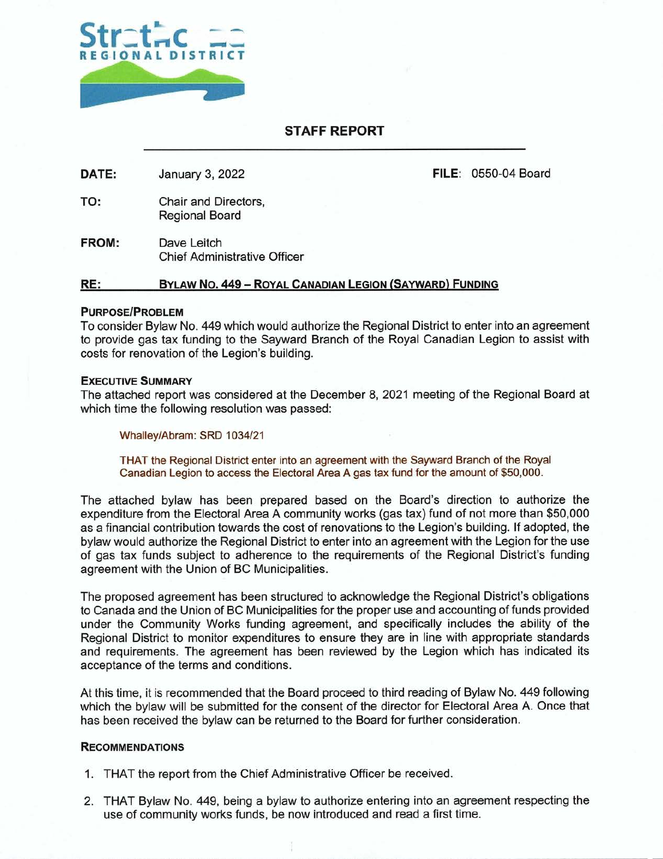

# **STAFF REPORT**

**DATE:** January 3, 2022 **FILE:** 0550-04 Board

- TO: Chair and Directors, Regional Board
- **FROM:** Dave Leitch Chief Administrative Officer

#### **RE: BYLAW No. 449** — **ROYAL CANADIAN LEGION (SAYWARD) FUNDING**

#### **PURPOSE/PROBLEM**

To consider Bylaw No. 449 which would authorize the Regional District to enter into an agreement to provide gas tax funding to the Sayward Branch of the Royal Canadian Legion to assist with costs for renovation of the Legion's building.

### **EXECUTIVE SUMMARY**

The attached report was considered at the December 8, 2021 meeting of the Regional Board at which time the following resolution was passed:

Whalley/Abram: SRD 1034/21

THAT the Regional District enter into an agreement with the Sayward Branch of the Royal Canadian Legion to access the Electoral Area A gas tax fund for the amount of \$50,000.

The attached bylaw has been prepared based on the Board's direction to authorize the expenditure from the Electoral Area A community works (gas tax) fund of not more than \$50,000 as a financial contribution towards the cost of renovations to the Legion's building. If adopted, the bylaw would authorize the Regional District to enter into an agreement with the Legion for the use of gas tax funds subject to adherence to the requirements of the Regional District's funding agreement with the Union of BC Municipalities.

The proposed agreement has been structured to acknowledge the Regional District's obligations to Canada and the Union of BC Municipalities for the proper use and accounting of funds provided under the Community Works funding agreement, and specifically includes the ability of the Regional District to monitor expenditures to ensure they are in line with appropriate standards and requirements. The agreement has been reviewed by the Legion which has indicated its acceptance of the terms and conditions.

At this time, it is recommended that the Board proceed to third reading of Bylaw No. 449 following which the bylaw will be submitted for the consent of the director for Electoral Area A. Once that has been received the bylaw can be returned to the Board for further consideration.

#### **RECOMMENDATIONS**

- 1. THAT the report from the Chief Administrative Officer be received.
- 2. THAT Bylaw No. 449, being a bylaw to authorize entering into an agreement respecting the use of community works funds, be now introduced and read a first time.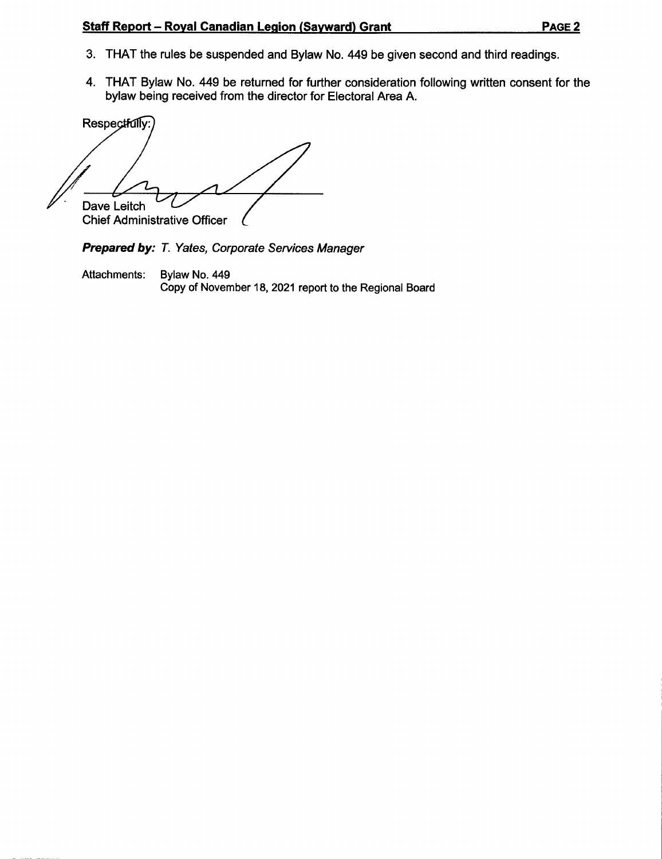# **Staff Report — Royal Canadian Legion (Sayward) Grant PAGE 2**

- 3. THAT the rules be suspended and Bylaw No. 449 be given second and third readings.
- 4. THAT Bylaw No. 449 be returned for further consideration following written consent for the bylaw being received from the director for Electoral Area A.

Respectfully: Dave Leitch Chief Administrative Officer

Prepared by: T. Yates, Corporate Services Manager

Attachments: Bylaw No. 449 Copy of November 18, 2021 report to the Regional Board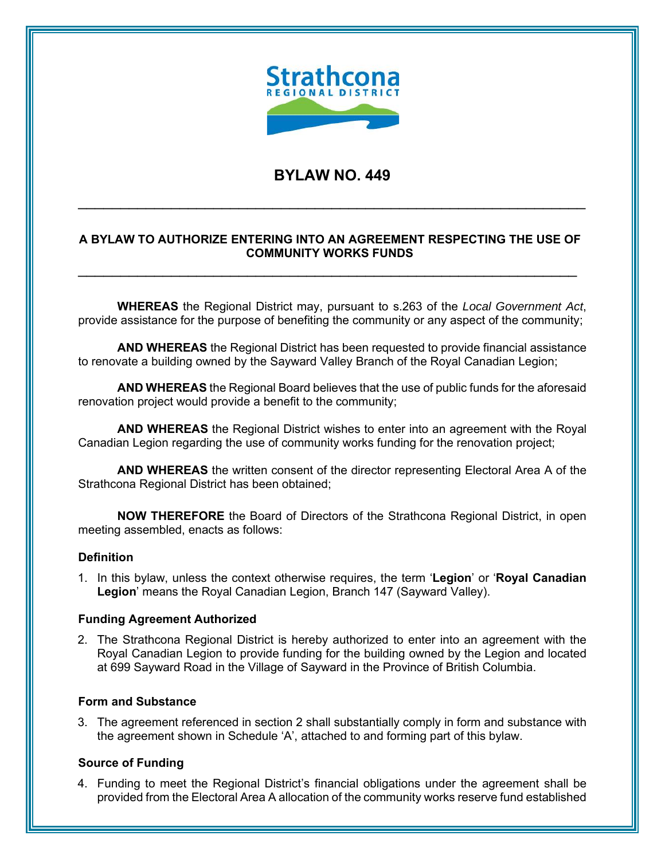

# **BYLAW NO. 449**

 $\overline{\phantom{a}}$  , and the contribution of the contribution of the contribution of the contribution of the contribution of the contribution of the contribution of the contribution of the contribution of the contribution of the

# **A BYLAW TO AUTHORIZE ENTERING INTO AN AGREEMENT RESPECTING THE USE OF COMMUNITY WORKS FUNDS**

\_\_\_\_\_\_\_\_\_\_\_\_\_\_\_\_\_\_\_\_\_\_\_\_\_\_\_\_\_\_\_\_\_\_\_\_\_\_\_\_\_\_\_\_\_\_\_\_\_\_\_\_\_\_\_\_\_\_\_

**WHEREAS** the Regional District may, pursuant to s.263 of the *Local Government Act*, provide assistance for the purpose of benefiting the community or any aspect of the community;

**AND WHEREAS** the Regional District has been requested to provide financial assistance to renovate a building owned by the Sayward Valley Branch of the Royal Canadian Legion;

**AND WHEREAS** the Regional Board believes that the use of public funds for the aforesaid renovation project would provide a benefit to the community;

**AND WHEREAS** the Regional District wishes to enter into an agreement with the Royal Canadian Legion regarding the use of community works funding for the renovation project;

**AND WHEREAS** the written consent of the director representing Electoral Area A of the Strathcona Regional District has been obtained;

**NOW THEREFORE** the Board of Directors of the Strathcona Regional District, in open meeting assembled, enacts as follows:

#### **Definition**

1. In this bylaw, unless the context otherwise requires, the term '**Legion**' or '**Royal Canadian Legion**' means the Royal Canadian Legion, Branch 147 (Sayward Valley).

#### **Funding Agreement Authorized**

2. The Strathcona Regional District is hereby authorized to enter into an agreement with the Royal Canadian Legion to provide funding for the building owned by the Legion and located at 699 Sayward Road in the Village of Sayward in the Province of British Columbia.

#### **Form and Substance**

3. The agreement referenced in section 2 shall substantially comply in form and substance with the agreement shown in Schedule 'A', attached to and forming part of this bylaw.

#### **Source of Funding**

4. Funding to meet the Regional District's financial obligations under the agreement shall be provided from the Electoral Area A allocation of the community works reserve fund established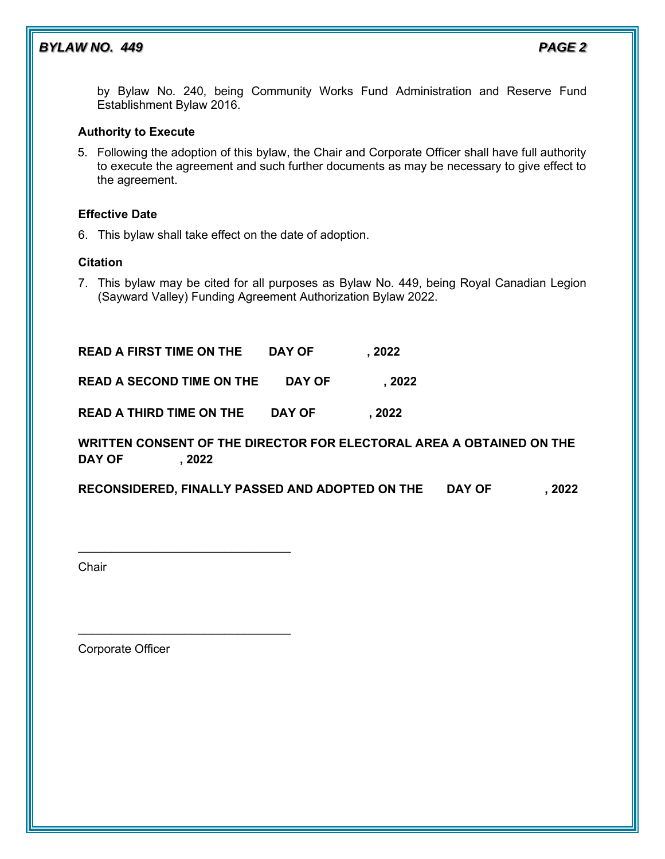# *BYLAW NO. 449 PAGE 2*

by Bylaw No. 240, being Community Works Fund Administration and Reserve Fund Establishment Bylaw 2016.

# **Authority to Execute**

5. Following the adoption of this bylaw, the Chair and Corporate Officer shall have full authority to execute the agreement and such further documents as may be necessary to give effect to the agreement.

### **Effective Date**

6. This bylaw shall take effect on the date of adoption.

# **Citation**

7. This bylaw may be cited for all purposes as Bylaw No. 449, being Royal Canadian Legion (Sayward Valley) Funding Agreement Authorization Bylaw 2022.

**READ A FIRST TIME ON THE DAY OF , 2022 READ A SECOND TIME ON THE DAY OF , 2022 READ A THIRD TIME ON THE DAY OF , 2022**

# **WRITTEN CONSENT OF THE DIRECTOR FOR ELECTORAL AREA A OBTAINED ON THE DAY OF , 2022**

**RECONSIDERED, FINALLY PASSED AND ADOPTED ON THE DAY OF , 2022**

**Chair** 

Corporate Officer

 $\frac{1}{2}$  ,  $\frac{1}{2}$  ,  $\frac{1}{2}$  ,  $\frac{1}{2}$  ,  $\frac{1}{2}$  ,  $\frac{1}{2}$  ,  $\frac{1}{2}$  ,  $\frac{1}{2}$  ,  $\frac{1}{2}$  ,  $\frac{1}{2}$  ,  $\frac{1}{2}$  ,  $\frac{1}{2}$  ,  $\frac{1}{2}$  ,  $\frac{1}{2}$  ,  $\frac{1}{2}$  ,  $\frac{1}{2}$  ,  $\frac{1}{2}$  ,  $\frac{1}{2}$  ,  $\frac{1$ 

 $\mathcal{L}_\text{max}$  , and the set of the set of the set of the set of the set of the set of the set of the set of the set of the set of the set of the set of the set of the set of the set of the set of the set of the set of the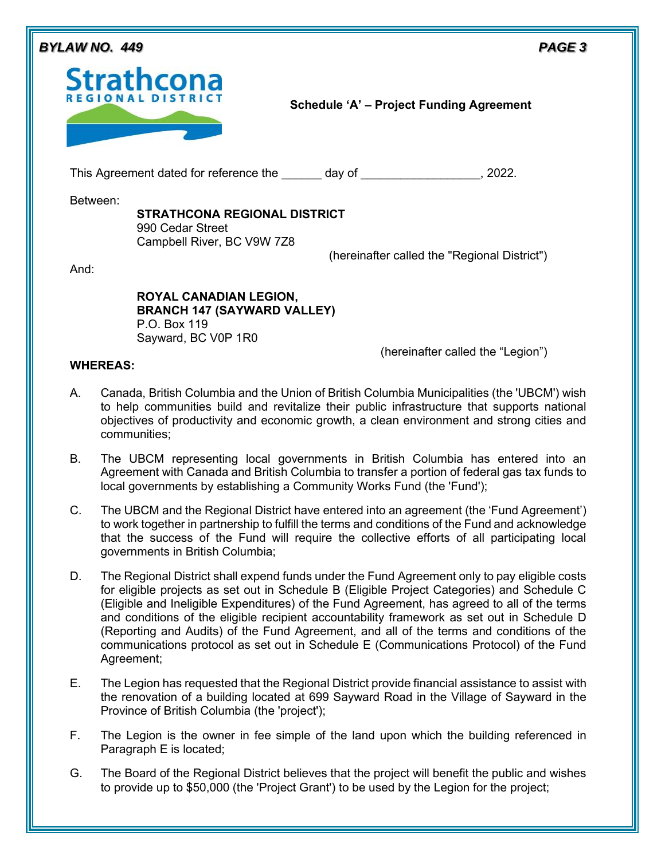| BYLAW NO. 449    |                                                                                                            |                                                 | PAGE <sub>3</sub> |
|------------------|------------------------------------------------------------------------------------------------------------|-------------------------------------------------|-------------------|
|                  | <b>Strathcona</b><br><b>REGIONAL DISTR</b>                                                                 | <b>Schedule 'A' - Project Funding Agreement</b> |                   |
|                  | This Agreement dated for reference the day of                                                              | , 2022.                                         |                   |
| Between:<br>And: | <b>STRATHCONA REGIONAL DISTRICT</b><br>990 Cedar Street<br>Campbell River, BC V9W 7Z8                      | (hereinafter called the "Regional District")    |                   |
|                  | <b>ROYAL CANADIAN LEGION,</b><br><b>BRANCH 147 (SAYWARD VALLEY)</b><br>P.O. Box 119<br>Sayward, BC V0P 1R0 | (hereinafter called the "Legion")               |                   |

# **WHEREAS:**

- A. Canada, British Columbia and the Union of British Columbia Municipalities (the 'UBCM') wish to help communities build and revitalize their public infrastructure that supports national objectives of productivity and economic growth, a clean environment and strong cities and communities;
- B. The UBCM representing local governments in British Columbia has entered into an Agreement with Canada and British Columbia to transfer a portion of federal gas tax funds to local governments by establishing a Community Works Fund (the 'Fund');
- C. The UBCM and the Regional District have entered into an agreement (the 'Fund Agreement') to work together in partnership to fulfill the terms and conditions of the Fund and acknowledge that the success of the Fund will require the collective efforts of all participating local governments in British Columbia;
- D. The Regional District shall expend funds under the Fund Agreement only to pay eligible costs for eligible projects as set out in Schedule B (Eligible Project Categories) and Schedule C (Eligible and Ineligible Expenditures) of the Fund Agreement, has agreed to all of the terms and conditions of the eligible recipient accountability framework as set out in Schedule D (Reporting and Audits) of the Fund Agreement, and all of the terms and conditions of the communications protocol as set out in Schedule E (Communications Protocol) of the Fund Agreement;
- E. The Legion has requested that the Regional District provide financial assistance to assist with the renovation of a building located at 699 Sayward Road in the Village of Sayward in the Province of British Columbia (the 'project');
- F. The Legion is the owner in fee simple of the land upon which the building referenced in Paragraph E is located;
- G. The Board of the Regional District believes that the project will benefit the public and wishes to provide up to \$50,000 (the 'Project Grant') to be used by the Legion for the project;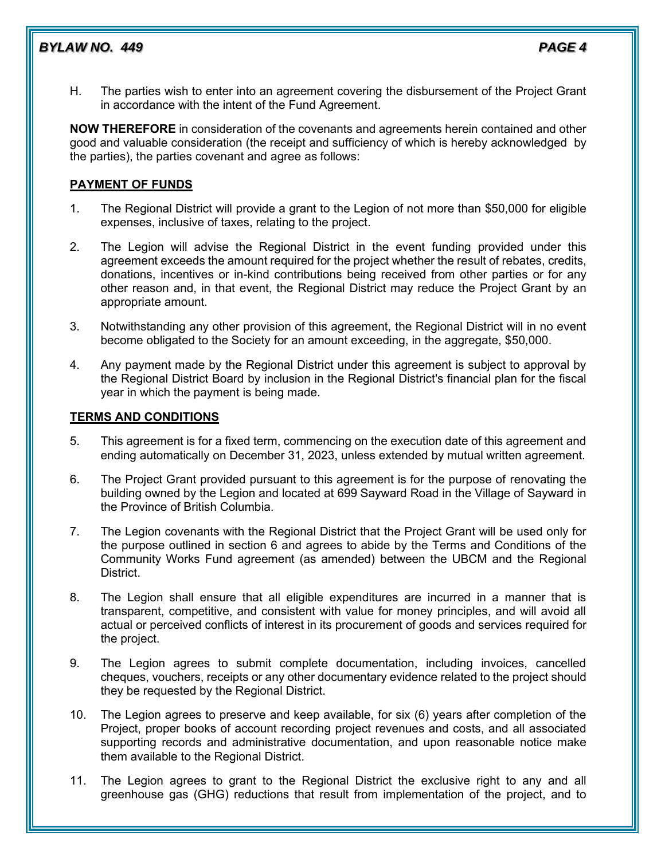# *BYLAW NO. 449 PAGE 4*

- 
- H. The parties wish to enter into an agreement covering the disbursement of the Project Grant in accordance with the intent of the Fund Agreement.

**NOW THEREFORE** in consideration of the covenants and agreements herein contained and other good and valuable consideration (the receipt and sufficiency of which is hereby acknowledged by the parties), the parties covenant and agree as follows:

# **PAYMENT OF FUNDS**

- 1. The Regional District will provide a grant to the Legion of not more than \$50,000 for eligible expenses, inclusive of taxes, relating to the project.
- 2. The Legion will advise the Regional District in the event funding provided under this agreement exceeds the amount required for the project whether the result of rebates, credits, donations, incentives or in-kind contributions being received from other parties or for any other reason and, in that event, the Regional District may reduce the Project Grant by an appropriate amount.
- 3. Notwithstanding any other provision of this agreement, the Regional District will in no event become obligated to the Society for an amount exceeding, in the aggregate, \$50,000.
- 4. Any payment made by the Regional District under this agreement is subject to approval by the Regional District Board by inclusion in the Regional District's financial plan for the fiscal year in which the payment is being made.

# **TERMS AND CONDITIONS**

- 5. This agreement is for a fixed term, commencing on the execution date of this agreement and ending automatically on December 31, 2023, unless extended by mutual written agreement.
- 6. The Project Grant provided pursuant to this agreement is for the purpose of renovating the building owned by the Legion and located at 699 Sayward Road in the Village of Sayward in the Province of British Columbia.
- 7. The Legion covenants with the Regional District that the Project Grant will be used only for the purpose outlined in section 6 and agrees to abide by the Terms and Conditions of the Community Works Fund agreement (as amended) between the UBCM and the Regional District.
- 8. The Legion shall ensure that all eligible expenditures are incurred in a manner that is transparent, competitive, and consistent with value for money principles, and will avoid all actual or perceived conflicts of interest in its procurement of goods and services required for the project.
- 9. The Legion agrees to submit complete documentation, including invoices, cancelled cheques, vouchers, receipts or any other documentary evidence related to the project should they be requested by the Regional District.
- 10. The Legion agrees to preserve and keep available, for six (6) years after completion of the Project, proper books of account recording project revenues and costs, and all associated supporting records and administrative documentation, and upon reasonable notice make them available to the Regional District.
- 11. The Legion agrees to grant to the Regional District the exclusive right to any and all greenhouse gas (GHG) reductions that result from implementation of the project, and to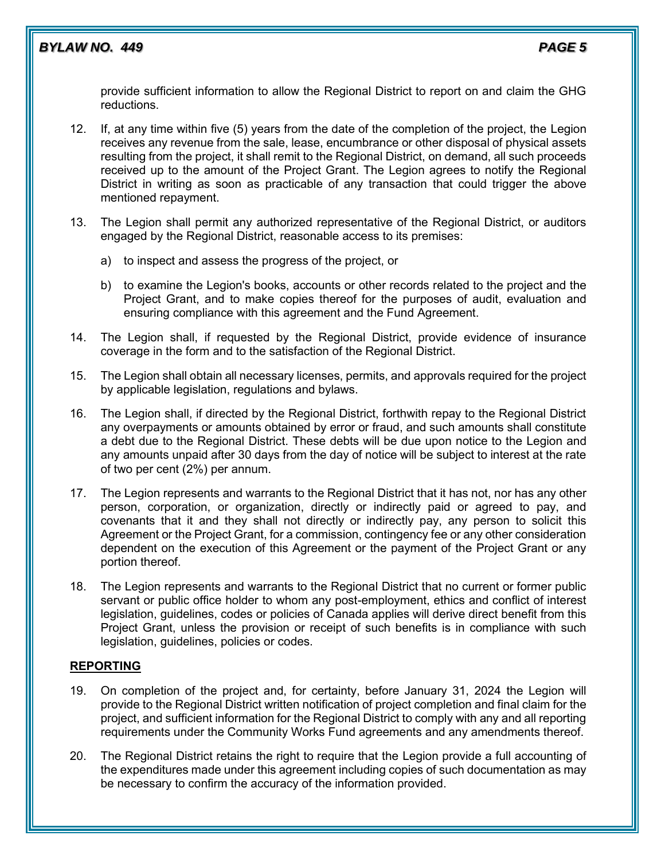provide sufficient information to allow the Regional District to report on and claim the GHG reductions.

- 12. If, at any time within five (5) years from the date of the completion of the project, the Legion receives any revenue from the sale, lease, encumbrance or other disposal of physical assets resulting from the project, it shall remit to the Regional District, on demand, all such proceeds received up to the amount of the Project Grant. The Legion agrees to notify the Regional District in writing as soon as practicable of any transaction that could trigger the above mentioned repayment.
- 13. The Legion shall permit any authorized representative of the Regional District, or auditors engaged by the Regional District, reasonable access to its premises:
	- a) to inspect and assess the progress of the project, or
	- b) to examine the Legion's books, accounts or other records related to the project and the Project Grant, and to make copies thereof for the purposes of audit, evaluation and ensuring compliance with this agreement and the Fund Agreement.
- 14. The Legion shall, if requested by the Regional District, provide evidence of insurance coverage in the form and to the satisfaction of the Regional District.
- 15. The Legion shall obtain all necessary licenses, permits, and approvals required for the project by applicable legislation, regulations and bylaws.
- 16. The Legion shall, if directed by the Regional District, forthwith repay to the Regional District any overpayments or amounts obtained by error or fraud, and such amounts shall constitute a debt due to the Regional District. These debts will be due upon notice to the Legion and any amounts unpaid after 30 days from the day of notice will be subject to interest at the rate of two per cent (2%) per annum.
- 17. The Legion represents and warrants to the Regional District that it has not, nor has any other person, corporation, or organization, directly or indirectly paid or agreed to pay, and covenants that it and they shall not directly or indirectly pay, any person to solicit this Agreement or the Project Grant, for a commission, contingency fee or any other consideration dependent on the execution of this Agreement or the payment of the Project Grant or any portion thereof.
- 18. The Legion represents and warrants to the Regional District that no current or former public servant or public office holder to whom any post-employment, ethics and conflict of interest legislation, guidelines, codes or policies of Canada applies will derive direct benefit from this Project Grant, unless the provision or receipt of such benefits is in compliance with such legislation, guidelines, policies or codes.

# **REPORTING**

- 19. On completion of the project and, for certainty, before January 31, 2024 the Legion will provide to the Regional District written notification of project completion and final claim for the project, and sufficient information for the Regional District to comply with any and all reporting requirements under the Community Works Fund agreements and any amendments thereof.
- 20. The Regional District retains the right to require that the Legion provide a full accounting of the expenditures made under this agreement including copies of such documentation as may be necessary to confirm the accuracy of the information provided.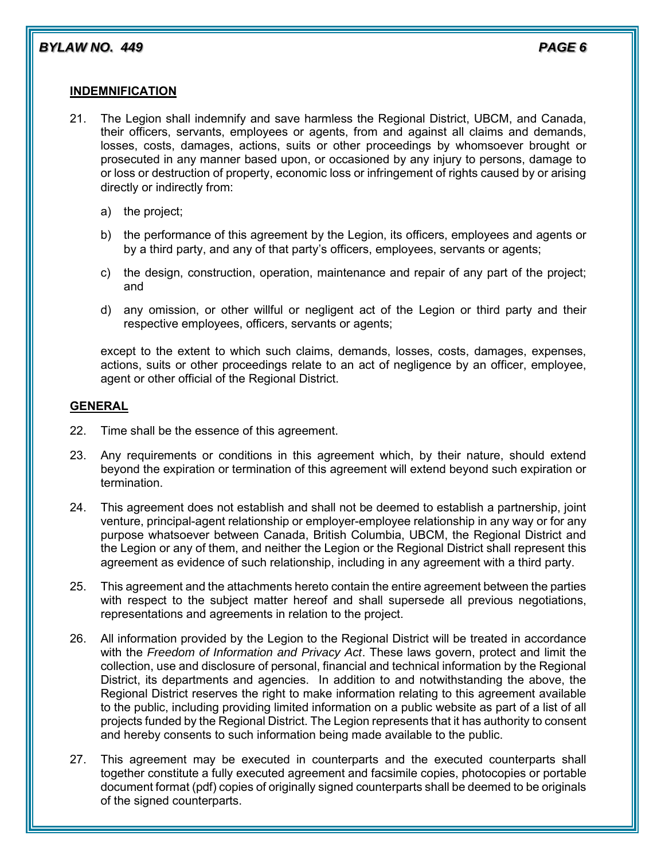# **INDEMNIFICATION**

- 21. The Legion shall indemnify and save harmless the Regional District, UBCM, and Canada, their officers, servants, employees or agents, from and against all claims and demands, losses, costs, damages, actions, suits or other proceedings by whomsoever brought or prosecuted in any manner based upon, or occasioned by any injury to persons, damage to or loss or destruction of property, economic loss or infringement of rights caused by or arising directly or indirectly from:
	- a) the project;
	- b) the performance of this agreement by the Legion, its officers, employees and agents or by a third party, and any of that party's officers, employees, servants or agents;
	- c) the design, construction, operation, maintenance and repair of any part of the project; and
	- d) any omission, or other willful or negligent act of the Legion or third party and their respective employees, officers, servants or agents;

except to the extent to which such claims, demands, losses, costs, damages, expenses, actions, suits or other proceedings relate to an act of negligence by an officer, employee, agent or other official of the Regional District.

#### **GENERAL**

- 22. Time shall be the essence of this agreement.
- 23. Any requirements or conditions in this agreement which, by their nature, should extend beyond the expiration or termination of this agreement will extend beyond such expiration or termination.
- 24. This agreement does not establish and shall not be deemed to establish a partnership, joint venture, principal-agent relationship or employer-employee relationship in any way or for any purpose whatsoever between Canada, British Columbia, UBCM, the Regional District and the Legion or any of them, and neither the Legion or the Regional District shall represent this agreement as evidence of such relationship, including in any agreement with a third party.
- 25. This agreement and the attachments hereto contain the entire agreement between the parties with respect to the subject matter hereof and shall supersede all previous negotiations, representations and agreements in relation to the project.
- 26. All information provided by the Legion to the Regional District will be treated in accordance with the *Freedom of Information and Privacy Act*. These laws govern, protect and limit the collection, use and disclosure of personal, financial and technical information by the Regional District, its departments and agencies. In addition to and notwithstanding the above, the Regional District reserves the right to make information relating to this agreement available to the public, including providing limited information on a public website as part of a list of all projects funded by the Regional District. The Legion represents that it has authority to consent and hereby consents to such information being made available to the public.
- 27. This agreement may be executed in counterparts and the executed counterparts shall together constitute a fully executed agreement and facsimile copies, photocopies or portable document format (pdf) copies of originally signed counterparts shall be deemed to be originals of the signed counterparts.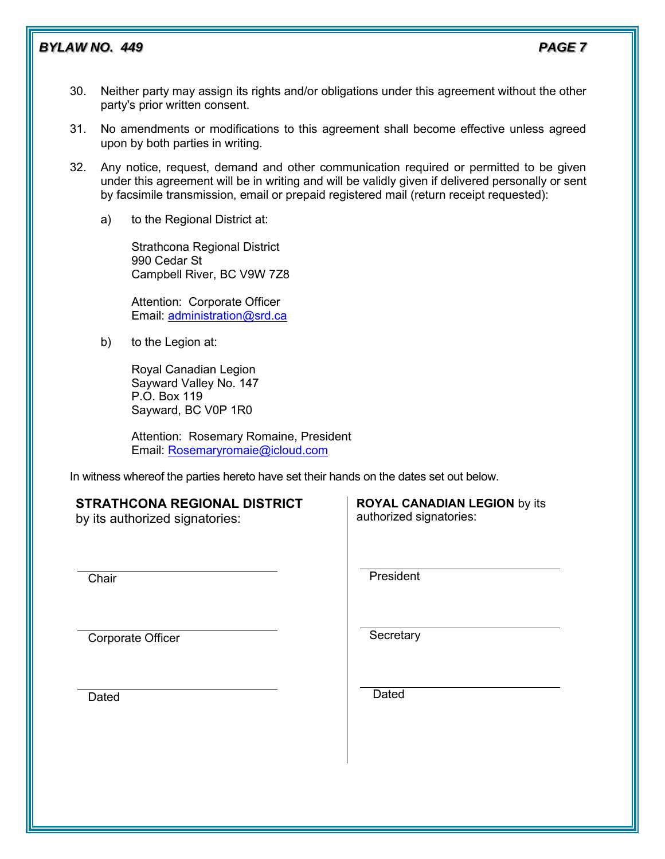# **BYLAW NO. 449 PAGE 7**

- 30. Neither party may assign its rights and/or obligations under this agreement without the other party's prior written consent.
- 31. No amendments or modifications to this agreement shall become effective unless agreed upon by both parties in writing.
- 32. Any notice, request, demand and other communication required or permitted to be given under this agreement will be in writing and will be validly given if delivered personally or sent by facsimile transmission, email or prepaid registered mail (return receipt requested):
	- a) to the Regional District at:

Strathcona Regional District 990 Cedar St Campbell River, BC V9W 7Z8

Attention: Corporate Officer Email: [administration@srd.ca](mailto:administration@srd.ca) 

b) to the Legion at:

Royal Canadian Legion Sayward Valley No. 147 P.O. Box 119 Sayward, BC V0P 1R0

Attention: Rosemary Romaine, President Email: [Rosemaryromaie@icloud.com](mailto:Rosemaryromaie@icloud.com)

In witness whereof the parties hereto have set their hands on the dates set out below.

# **STRATHCONA REGIONAL DISTRICT**

by its authorized signatories:

**Chair** 

Corporate Officer

**Dated** 

**ROYAL CANADIAN LEGION** by its authorized signatories:

President

**Secretary** 

Dated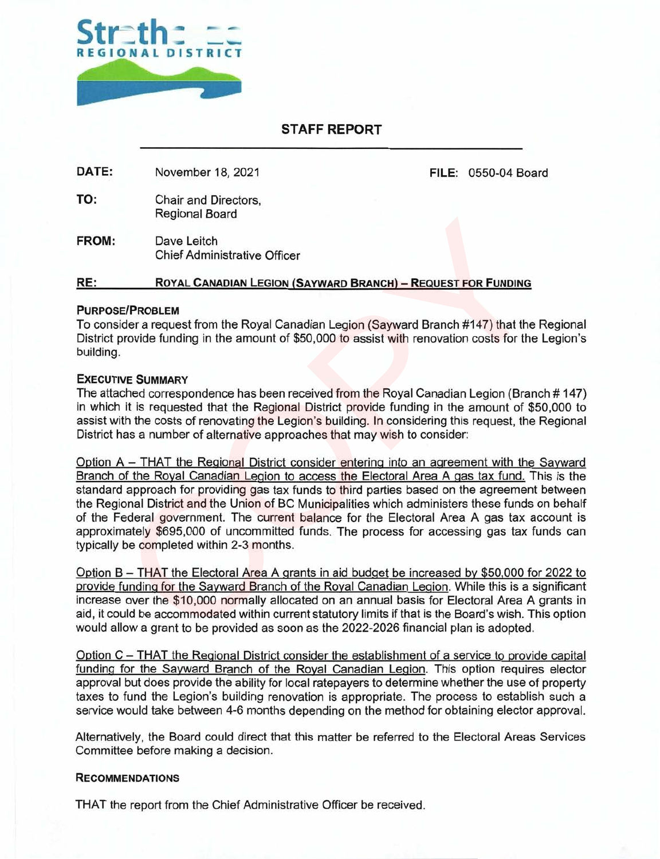

# **STAFF REPORT**

**DATE:** November 18, 2021 **FILE: 0550-04 Board** 

TO: Chair and Directors, Regional Board

**FROM:** Dave Leitch Chief Administrative Officer

# **RE: ROYAL CANADIAN LEGION (SAYWARD BRANCH)** — **REQUEST FOR FUNDING**

#### **PURPOSE/PROBLEM**

To consider a request from the Royal Canadian Legion (Sayward Branch #147) that the Regional District provide funding in the amount of \$50,000 to assist with renovation costs for the Legion's building.

#### **EXECUTIVE SUMMARY**

The attached correspondence has been received from the Royal Canadian Legion (Branch # 147) in which it is requested that the Regional District provide funding in the amount of \$50,000 to assist with the costs of renovating the Legion's building. In considering this request, the Regional District has a number of alternative approaches that may wish to consider:

Option A — THAT the Regional District consider entering into an agreement with the Sayward Branch of the Royal Canadian Legion to access the Electoral Area A gas tax fund. This is the standard approach for providing gas tax funds to third parties based on the agreement between the Regional District and the Union of BC Municipalities which administers these funds on behalf of the Federal government. The current balance for the Electoral Area A gas tax account is approximately \$695,000 of uncommitted funds. The process for accessing gas tax funds can typically be completed within 2-3 months. Regional Board<br>
Chief Administrative Officer<br>
Royal Canadian Legion (Sayward Branch) – Request For Funding<br>
Figure 1.0 Chief Administrative Officer<br>
Royal Canadian Legion (Sayward Branch #147) that the Big<br>
provide funding

Option B — THAT the Electoral Area A grants in aid budget be increased by \$50,000 for 2022 to provide funding for the Sayward Branch of the Royal Canadian Legion. While this is a significant increase over the \$10,000 normally allocated on an annual basis for Electoral Area A grants in aid, it could be accommodated within current statutory limits if that is the Board's wish. This option would allow a grant to be provided as soon as the 2022-2026 financial plan is adopted.

Option C — THAT the Regional District consider the establishment of a service to provide capital funding for the Sayward Branch of the Royal Canadian Legion. This option requires elector approval but does provide the ability for local ratepayers to determine whether the use of property taxes to fund the Legion's building renovation is appropriate. The process to establish such a service would take between 4-6 months depending on the method for obtaining elector approval.

Alternatively, the Board could direct that this matter be referred to the Electoral Areas Services Committee before making a decision.

#### **RECOMMENDATIONS**

THAT the report from the Chief Administrative Officer be received.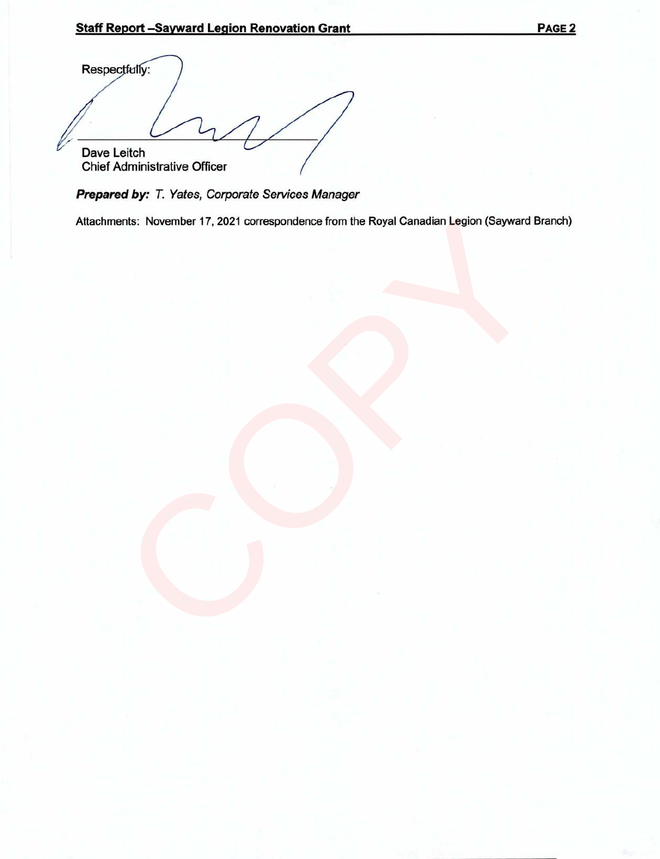Staff Report –Sayward Legion Renovation Grant<br>
Respectfully:<br> *A* Respectfully: Dave Leitch Chief Administrative Officer

**Prepared by:** T. Yates, Corporate Services Manager

Attachments: November 17, 2021 correspondence from the Royal Canadian Legion (Sayward Branch) ents: November 17, 2021 correspondence from the Royal Canadian Legion (Sayward Br